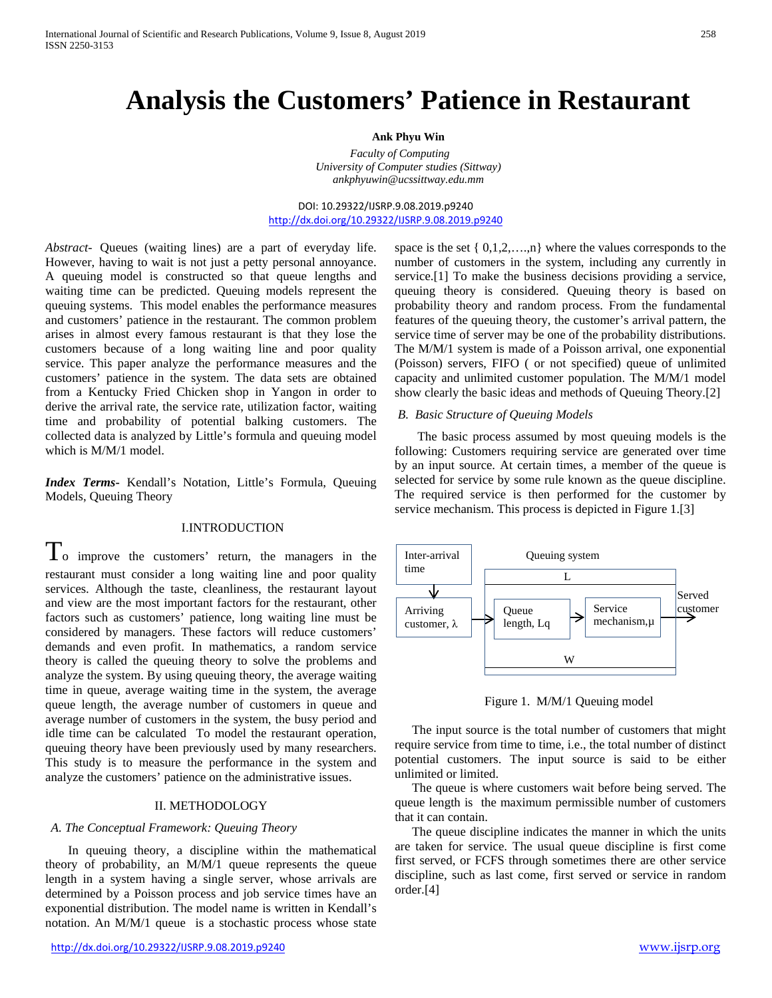# **Analysis the Customers' Patience in Restaurant**

### **Ank Phyu Win**

 *Faculty of Computing University of Computer studies (Sittway) ankphyuwin@ucssittway.edu.mm*

DOI: 10.29322/IJSRP.9.08.2019.p9240 <http://dx.doi.org/10.29322/IJSRP.9.08.2019.p9240>

*Abstract-* Queues (waiting lines) are a part of everyday life. However, having to wait is not just a petty personal annoyance. A queuing model is constructed so that queue lengths and waiting time can be predicted. Queuing models represent the queuing systems. This model enables the performance measures and customers' patience in the restaurant. The common problem arises in almost every famous restaurant is that they lose the customers because of a long waiting line and poor quality service. This paper analyze the performance measures and the customers' patience in the system. The data sets are obtained from a Kentucky Fried Chicken shop in Yangon in order to derive the arrival rate, the service rate, utilization factor, waiting time and probability of potential balking customers. The collected data is analyzed by Little's formula and queuing model which is M/M/1 model.

*Index Terms***-** Kendall's Notation, Little's Formula, Queuing Models, Queuing Theory

### I.INTRODUCTION

 $T_{\rm o}$  improve the customers' return, the managers in the restaurant must consider a long waiting line and poor quality services. Although the taste, cleanliness, the restaurant layout and view are the most important factors for the restaurant, other factors such as customers' patience, long waiting line must be considered by managers. These factors will reduce customers' demands and even profit. In mathematics, a random service theory is called the queuing theory to solve the problems and analyze the system. By using queuing theory, the average waiting time in queue, average waiting time in the system, the average queue length, the average number of customers in queue and average number of customers in the system, the busy period and idle time can be calculated To model the restaurant operation, queuing theory have been previously used by many researchers. This study is to measure the performance in the system and analyze the customers' patience on the administrative issues.

### II. METHODOLOGY

### *A. The Conceptual Framework: Queuing Theory*

In queuing theory, a discipline within the mathematical theory of probability, an M/M/1 queue represents the queue length in a system having a single server, whose arrivals are determined by a Poisson process and job service times have an exponential distribution. The model name is written in Kendall's notation. An M/M/1 queue is a stochastic process whose state space is the set  $\{0,1,2,...,n\}$  where the values corresponds to the number of customers in the system, including any currently in service.[1] To make the business decisions providing a service, queuing theory is considered. Queuing theory is based on probability theory and random process. From the fundamental features of the queuing theory, the customer's arrival pattern, the service time of server may be one of the probability distributions. The M/M/1 system is made of a Poisson arrival, one exponential (Poisson) servers, FIFO ( or not specified) queue of unlimited capacity and unlimited customer population. The M/M/1 model show clearly the basic ideas and methods of Queuing Theory.[2]

### *B. Basic Structure of Queuing Models*

The basic process assumed by most queuing models is the following: Customers requiring service are generated over time by an input source. At certain times, a member of the queue is selected for service by some rule known as the queue discipline. The required service is then performed for the customer by service mechanism. This process is depicted in Figure 1.[3]



Figure 1. M/M/1 Queuing model

The input source is the total number of customers that might require service from time to time, i.e., the total number of distinct potential customers. The input source is said to be either unlimited or limited.

The queue is where customers wait before being served. The queue length is the maximum permissible number of customers that it can contain.

The queue discipline indicates the manner in which the units are taken for service. The usual queue discipline is first come first served, or FCFS through sometimes there are other service discipline, such as last come, first served or service in random order.[4]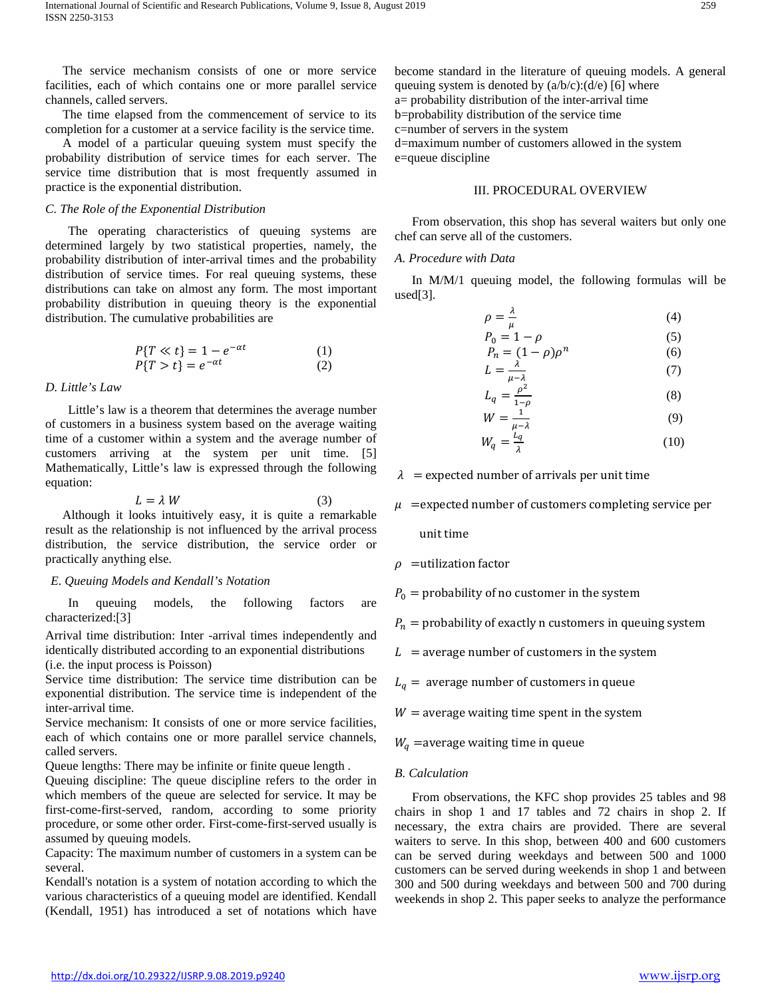The service mechanism consists of one or more service facilities, each of which contains one or more parallel service channels, called servers.

The time elapsed from the commencement of service to its completion for a customer at a service facility is the service time.

A model of a particular queuing system must specify the probability distribution of service times for each server. The service time distribution that is most frequently assumed in practice is the exponential distribution.

### *C. The Role of the Exponential Distribution*

The operating characteristics of queuing systems are determined largely by two statistical properties, namely, the probability distribution of inter-arrival times and the probability distribution of service times. For real queuing systems, these distributions can take on almost any form. The most important probability distribution in queuing theory is the exponential distribution. The cumulative probabilities are

$$
P{T \ll t} = 1 - e^{-\alpha t}
$$
  
\n
$$
P{T > t} = e^{-\alpha t}
$$
  
\n(1)  
\n(2)

#### *D. Little's Law*

Little's law is a theorem that determines the average number of customers in a business system based on the average waiting time of a customer within a system and the average number of customers arriving at the system per unit time. [5] Mathematically, Little's law is expressed through the following equation:

$$
L = \lambda W \tag{3}
$$

Although it looks intuitively easy, it is quite a remarkable result as the relationship is not influenced by the arrival process distribution, the service distribution, the service order or practically anything else.

### *E. Queuing Models and Kendall's Notation*

In queuing models, the following factors are characterized:[3]

Arrival time distribution: Inter -arrival times independently and identically distributed according to an exponential distributions (i.e. the input process is Poisson)

Service time distribution: The service time distribution can be exponential distribution. The service time is independent of the inter-arrival time.

Service mechanism: It consists of one or more service facilities, each of which contains one or more parallel service channels, called servers.

Queue lengths: There may be infinite or finite queue length .

Queuing discipline: The queue discipline refers to the order in which members of the queue are selected for service. It may be first-come-first-served, random, according to some priority procedure, or some other order. First-come-first-served usually is assumed by queuing models.

Capacity: The maximum number of customers in a system can be several.

Kendall's notation is a system of notation according to which the various characteristics of a queuing model are identified. Kendall (Kendall, 1951) has introduced a set of notations which have

become standard in the literature of queuing models. A general queuing system is denoted by  $(a/b/c):(d/e)$  [6] where a= probability distribution of the inter-arrival time b=probability distribution of the service time c=number of servers in the system d=maximum number of customers allowed in the system e=queue discipline

## III. PROCEDURAL OVERVIEW

From observation, this shop has several waiters but only one chef can serve all of the customers.

### *A. Procedure with Data*

In M/M/1 queuing model, the following formulas will be used[3].

$$
\rho = \frac{\lambda}{\mu} \tag{4}
$$

$$
P_0 = 1 - \rho
$$
 (5)  

$$
P_n = (1 - \rho)\rho^n
$$
 (6)

$$
L = \frac{\lambda}{\mu - \lambda} \tag{7}
$$

$$
L = \frac{\lambda}{\mu - \lambda} \tag{7}
$$

$$
L_q = \frac{\rho^2}{1-\rho} \tag{8}
$$

$$
W = \frac{1}{\mu - \lambda} \tag{9}
$$

$$
W_q = \frac{L_q}{\lambda} \tag{10}
$$

 $\lambda$  = expected number of arrivals per unit time

 $\mu$  =expected number of customers completing service per

unit time

 $\rho$  =utilization factor

 $P_0$  = probability of no customer in the system

- $P_n =$  probability of exactly n customers in queuing system
- $L =$  average number of customers in the system

 $L_q =$  average number of customers in queue

 $W =$  average waiting time spent in the system

 $W_a$  =average waiting time in queue

### *B. Calculation*

From observations, the KFC shop provides 25 tables and 98 chairs in shop 1 and 17 tables and 72 chairs in shop 2. If necessary, the extra chairs are provided. There are several waiters to serve. In this shop, between 400 and 600 customers can be served during weekdays and between 500 and 1000 customers can be served during weekends in shop 1 and between 300 and 500 during weekdays and between 500 and 700 during weekends in shop 2. This paper seeks to analyze the performance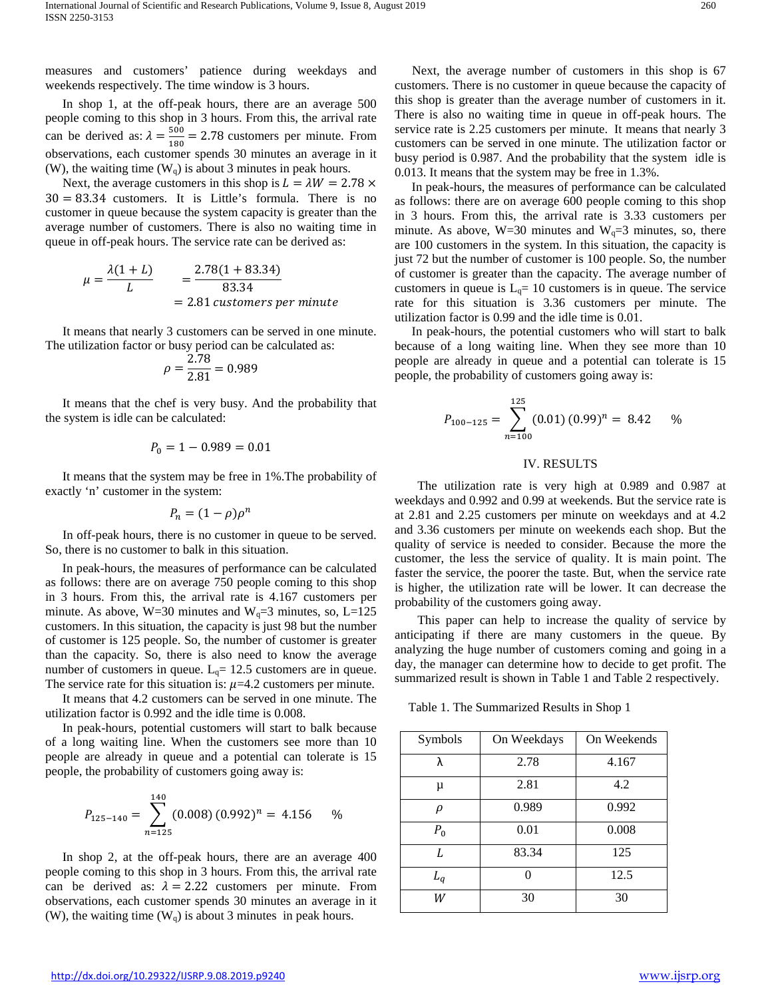measures and customers' patience during weekdays and weekends respectively. The time window is 3 hours.

In shop 1, at the off-peak hours, there are an average 500 people coming to this shop in 3 hours. From this, the arrival rate can be derived as:  $\lambda = \frac{500}{180} = 2.78$  customers per minute. From observations, each customer spends 30 minutes an average in it (W), the waiting time  $(W_q)$  is about 3 minutes in peak hours.

Next, the average customers in this shop is  $L = \lambda W = 2.78 \times$  $30 = 83.34$  customers. It is Little's formula. There is no customer in queue because the system capacity is greater than the average number of customers. There is also no waiting time in queue in off-peak hours. The service rate can be derived as:

$$
\mu = \frac{\lambda(1+L)}{L} = \frac{2.78(1+83.34)}{83.34}
$$
  
= 2.81 customers per minute

It means that nearly 3 customers can be served in one minute. The utilization factor or busy period can be calculated as:

$$
\rho = \frac{2.78}{2.81} = 0.989
$$

It means that the chef is very busy. And the probability that the system is idle can be calculated:

$$
P_0 = 1 - 0.989 = 0.01
$$

It means that the system may be free in 1%.The probability of exactly 'n' customer in the system:

$$
P_n = (1 - \rho)\rho^n
$$

In off-peak hours, there is no customer in queue to be served. So, there is no customer to balk in this situation.

In peak-hours, the measures of performance can be calculated as follows: there are on average 750 people coming to this shop in 3 hours. From this, the arrival rate is 4.167 customers per minute. As above, W=30 minutes and W<sub>q</sub>=3 minutes, so, L=125 customers. In this situation, the capacity is just 98 but the number of customer is 125 people. So, the number of customer is greater than the capacity. So, there is also need to know the average number of customers in queue.  $L_q = 12.5$  customers are in queue. The service rate for this situation is:  $\mu$ =4.2 customers per minute.

It means that 4.2 customers can be served in one minute. The utilization factor is 0.992 and the idle time is 0.008.

In peak-hours, potential customers will start to balk because of a long waiting line. When the customers see more than 10 people are already in queue and a potential can tolerate is 15 people, the probability of customers going away is:

$$
P_{125-140} = \sum_{n=125}^{140} (0.008) (0.992)^n = 4.156 \quad \%
$$

In shop 2, at the off-peak hours, there are an average 400 people coming to this shop in 3 hours. From this, the arrival rate can be derived as:  $\lambda = 2.22$  customers per minute. From observations, each customer spends 30 minutes an average in it (W), the waiting time  $(W_q)$  is about 3 minutes in peak hours.

Next, the average number of customers in this shop is 67 customers. There is no customer in queue because the capacity of this shop is greater than the average number of customers in it. There is also no waiting time in queue in off-peak hours. The service rate is 2.25 customers per minute. It means that nearly 3 customers can be served in one minute. The utilization factor or busy period is 0.987. And the probability that the system idle is 0.013. It means that the system may be free in 1.3%.

In peak-hours, the measures of performance can be calculated as follows: there are on average 600 people coming to this shop in 3 hours. From this, the arrival rate is 3.33 customers per minute. As above,  $W=30$  minutes and  $W<sub>q</sub>=3$  minutes, so, there are 100 customers in the system. In this situation, the capacity is just 72 but the number of customer is 100 people. So, the number of customer is greater than the capacity. The average number of customers in queue is  $L_q = 10$  customers is in queue. The service rate for this situation is 3.36 customers per minute. The utilization factor is 0.99 and the idle time is 0.01.

In peak-hours, the potential customers who will start to balk because of a long waiting line. When they see more than 10 people are already in queue and a potential can tolerate is 15 people, the probability of customers going away is:

$$
P_{100-125} = \sum_{n=100}^{125} (0.01)(0.99)^n = 8.42 \quad \%
$$

### IV. RESULTS

The utilization rate is very high at 0.989 and 0.987 at weekdays and 0.992 and 0.99 at weekends. But the service rate is at 2.81 and 2.25 customers per minute on weekdays and at 4.2 and 3.36 customers per minute on weekends each shop. But the quality of service is needed to consider. Because the more the customer, the less the service of quality. It is main point. The faster the service, the poorer the taste. But, when the service rate is higher, the utilization rate will be lower. It can decrease the probability of the customers going away.

This paper can help to increase the quality of service by anticipating if there are many customers in the queue. By analyzing the huge number of customers coming and going in a day, the manager can determine how to decide to get profit. The summarized result is shown in Table 1 and Table 2 respectively.

Table 1. The Summarized Results in Shop 1

| Symbols | On Weekdays | On Weekends |
|---------|-------------|-------------|
| λ       | 2.78        | 4.167       |
| μ       | 2.81        | 4.2         |
| ρ       | 0.989       | 0.992       |
| $P_0$   | 0.01        | 0.008       |
| L       | 83.34       | 125         |
| $L_q$   |             | 12.5        |
| W       | 30          | 30          |